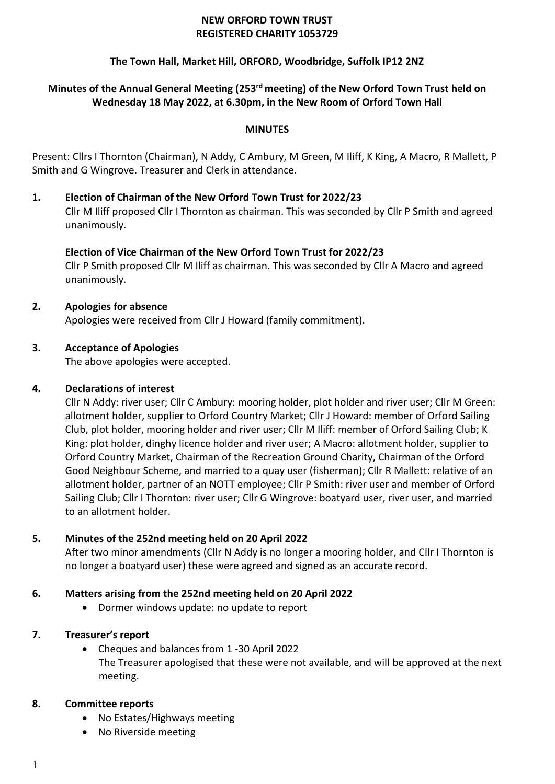#### **NEW ORFORD TOWN TRUST REGISTERED CHARITY 1053729**

## **The Town Hall, Market Hill, ORFORD, Woodbridge, Suffolk IP12 2NZ**

# **Minutes of the Annual General Meeting (253 rd meeting) of the New Orford Town Trust held on Wednesday 18 May 2022, at 6.30pm, in the New Room of Orford Town Hall**

#### **MINUTES**

Present: Cllrs I Thornton (Chairman), N Addy, C Ambury, M Green, M Iliff, K King, A Macro, R Mallett, P Smith and G Wingrove. Treasurer and Clerk in attendance.

**1. Election of Chairman of the New Orford Town Trust for 2022/23** Cllr M Iliff proposed Cllr I Thornton as chairman. This was seconded by Cllr P Smith and agreed unanimously.

## **Election of Vice Chairman of the New Orford Town Trust for 2022/23**

Cllr P Smith proposed Cllr M Iliff as chairman. This was seconded by Cllr A Macro and agreed unanimously.

#### **2. Apologies for absence**

Apologies were received from Cllr J Howard (family commitment).

## **3. Acceptance of Apologies**

The above apologies were accepted.

#### **4. Declarations of interest**

Cllr N Addy: river user; Cllr C Ambury: mooring holder, plot holder and river user; Cllr M Green: allotment holder, supplier to Orford Country Market; Cllr J Howard: member of Orford Sailing Club, plot holder, mooring holder and river user; Cllr M Iliff: member of Orford Sailing Club; K King: plot holder, dinghy licence holder and river user; A Macro: allotment holder, supplier to Orford Country Market, Chairman of the Recreation Ground Charity, Chairman of the Orford Good Neighbour Scheme, and married to a quay user (fisherman); Cllr R Mallett: relative of an allotment holder, partner of an NOTT employee; Cllr P Smith: river user and member of Orford Sailing Club; Cllr I Thornton: river user; Cllr G Wingrove: boatyard user, river user, and married to an allotment holder.

## **5. Minutes of the 252nd meeting held on 20 April 2022**

After two minor amendments (Cllr N Addy is no longer a mooring holder, and Cllr I Thornton is no longer a boatyard user) these were agreed and signed as an accurate record.

## **6. Matters arising from the 252nd meeting held on 20 April 2022**

• Dormer windows update: no update to report

## **7. Treasurer's report**

• Cheques and balances from 1 -30 April 2022 The Treasurer apologised that these were not available, and will be approved at the next meeting.

#### **8. Committee reports**

- No Estates/Highways meeting
- No Riverside meeting